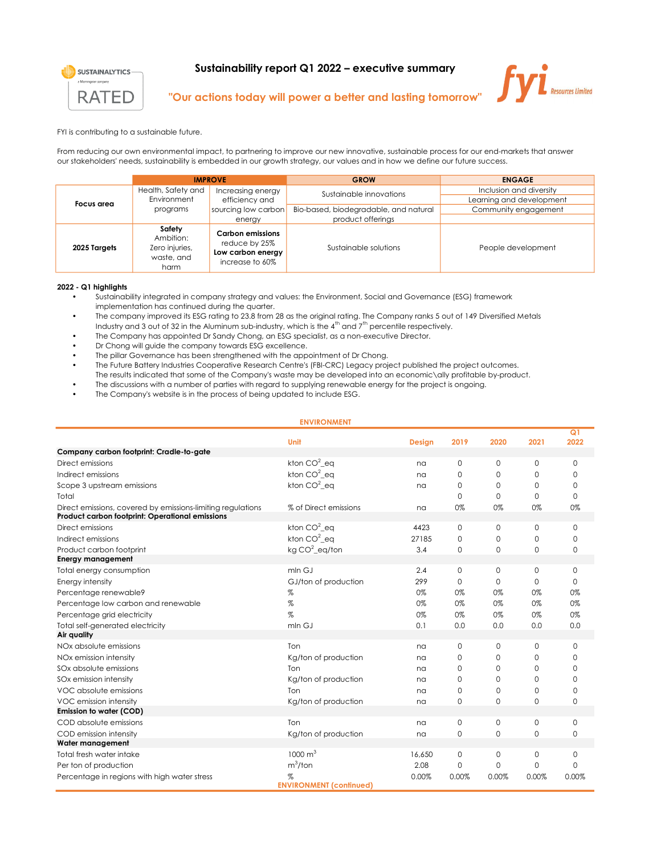

## Sustainability report Q1 2022 – executive summary



## "Our actions today will power a better and lasting tomorrow"

FYI is contributing to a sustainable future.

From reducing our own environmental impact, to partnering to improve our new innovative, sustainable process for our end-markets that answer our stakeholders' needs, sustainability is embedded in our growth strategy, our values and in how we define our future success.

|              | <b>IMPROVE</b>                                              |                                                                           | <b>GROW</b>                           | <b>ENGAGE</b>                                    |  |  |
|--------------|-------------------------------------------------------------|---------------------------------------------------------------------------|---------------------------------------|--------------------------------------------------|--|--|
| Focus area   | Health, Safety and                                          | Increasing energy                                                         | Sustainable innovations               | Inclusion and diversity                          |  |  |
|              | Environment<br>programs                                     | efficiency and<br>sourcing low carbon                                     | Bio-based, biodegradable, and natural | Learning and development<br>Community engagement |  |  |
|              |                                                             | energy                                                                    | product offerings                     |                                                  |  |  |
| 2025 Targets | Safety<br>Ambition:<br>Zero injuries,<br>waste, and<br>harm | Carbon emissions<br>reduce by 25%<br>Low carbon energy<br>increase to 60% | Sustainable solutions                 | People development                               |  |  |

## 2022 - Q1 highlights

- Sustainability integrated in company strategy and values: the Environment, Social and Governance (ESG) framework implementation has continued during the quarter.
- The company improved its ESG rating to 23.8 from 28 as the original rating. The Company ranks 5 out of 149 Diversified Metals Industry and 3 out of 32 in the Aluminum sub-industry, which is the  $4<sup>th</sup>$  and  $7<sup>th</sup>$  percentile respectively.
- The Company has appointed Dr Sandy Chong, an ESG specialist, as a non-executive Director.
- Dr Chong will guide the company towards ESG excellence.
- The pillar Governance has been strengthened with the appointment of Dr Chong.
- The Future Battery Industries Cooperative Research Centre's (FBI-CRC) Legacy project published the project outcomes.
- The results indicated that some of the Company's waste may be developed into an economic\ally profitable by-product.
- The discussions with a number of parties with regard to supplying renewable energy for the project is ongoing.
- The Company's website is in the process of being updated to include ESG.

|                                                                                                                | <b>ENVIRONMENT</b>                  |               |             |              |              |              |
|----------------------------------------------------------------------------------------------------------------|-------------------------------------|---------------|-------------|--------------|--------------|--------------|
|                                                                                                                | Unit                                | <b>Design</b> | 2019        | 2020         | 2021         | Q1<br>2022   |
| Company carbon footprint: Cradle-to-gate                                                                       |                                     |               |             |              |              |              |
| Direct emissions                                                                                               | kton $CO2$ eq                       | na            | $\mathbf 0$ | $\mathbf 0$  | 0            | $\mathbf 0$  |
| Indirect emissions                                                                                             | kton $CO2$ ea                       | na            | $\mathbf 0$ | 0            | 0            | 0            |
| Scope 3 upstream emissions                                                                                     | kton $CO2$ eq                       | na            | $\Omega$    | $\Omega$     | $\Omega$     | $\Omega$     |
| Total                                                                                                          |                                     |               | $\Omega$    | $\Omega$     | 0            | $\Omega$     |
| Direct emissions, covered by emissions-limiting regulations<br>Product carbon footprint: Operational emissions | % of Direct emissions               | na            | 0%          | 0%           | 0%           | 0%           |
| Direct emissions                                                                                               | kton $CO2$ eq                       | 4423          | $\mathbf 0$ | $\mathbf{0}$ | $\mathsf{O}$ | $\mathbf 0$  |
| Indirect emissions                                                                                             | kton $CO2$ eq                       | 27185         | $\mathbf 0$ | 0            | 0            | $\Omega$     |
| Product carbon footprint                                                                                       | kg $CO^2$ _eq/ton                   | 3.4           | $\mathbf 0$ | $\mathbf 0$  | $\mathbf{0}$ | 0            |
| <b>Energy management</b>                                                                                       |                                     |               |             |              |              |              |
| Total energy consumption                                                                                       | mln GJ                              | 2.4           | $\mathbf 0$ | $\mathbf{O}$ | $\mathsf{O}$ | $\mathbf{0}$ |
| Energy intensity                                                                                               | GJ/ton of production                | 299           | $\Omega$    | $\Omega$     | $\Omega$     | $\Omega$     |
| Percentage renewable9                                                                                          | %                                   | 0%            | 0%          | 0%           | 0%           | 0%           |
| Percentage low carbon and renewable                                                                            | $\%$                                | 0%            | 0%          | 0%           | 0%           | 0%           |
| Percentage grid electricity                                                                                    | %                                   | 0%            | 0%          | 0%           | 0%           | 0%           |
| Total self-generated electricity                                                                               | mln G.J                             | 0.1           | 0.0         | 0.0          | 0.0          | 0.0          |
| Air quality                                                                                                    |                                     |               |             |              |              |              |
| NOx absolute emissions                                                                                         | Ton                                 | na            | 0           | 0            | 0            | $\Omega$     |
| NOx emission intensity                                                                                         | Kg/ton of production                | na            | $\Omega$    | 0            | 0            | 0            |
| SOx absolute emissions                                                                                         | Ton                                 | na            | $\Omega$    | $\Omega$     | 0            | 0            |
| SOx emission intensity                                                                                         | Kg/ton of production                | na            | $\Omega$    | $\Omega$     | 0            | $\Omega$     |
| VOC absolute emissions                                                                                         | Ton                                 | na            | $\mathbf 0$ | 0            | 0            | 0            |
| VOC emission intensity                                                                                         | Kg/ton of production                | na            | 0           | 0            | $\mathbf{0}$ | 0            |
| Emission to water (COD)                                                                                        |                                     |               |             |              |              |              |
| COD absolute emissions                                                                                         | Ton                                 | na            | 0           | 0            | 0            | 0            |
| COD emission intensity                                                                                         | Kg/ton of production                | na            | 0           | 0            | $\mathbf{O}$ | 0            |
| Water management                                                                                               |                                     |               |             |              |              |              |
| Total fresh water intake                                                                                       | $1000 \text{ m}^3$                  | 16,650        | $\mathbf 0$ | $\mathbf 0$  | 0            | 0            |
| Per ton of production                                                                                          | $m^3$ /ton                          | 2.08          | $\mathbf 0$ | 0            | 0            | $\Omega$     |
| Percentage in regions with high water stress                                                                   | %<br><b>ENVIRONMENT</b> (confinued) | 0.00%         | 0.00%       | 0.00%        | 0.00%        | 0.00%        |